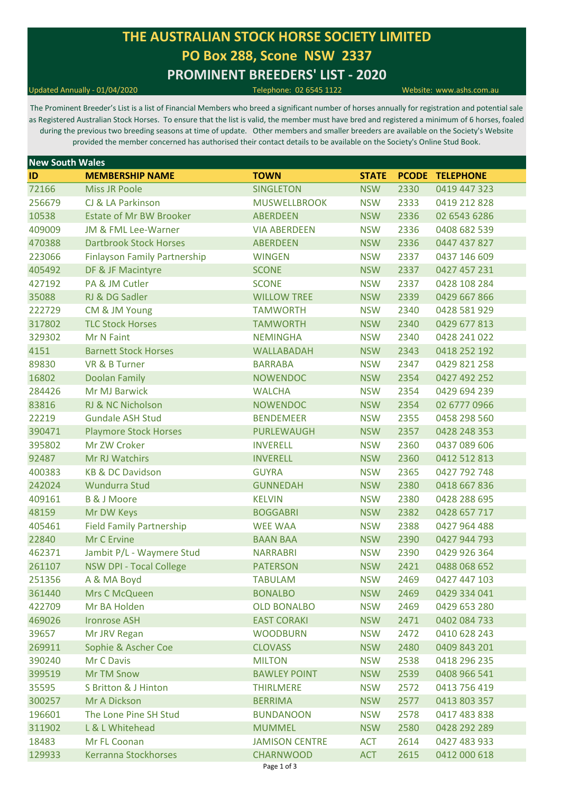# **THE AUSTRALIAN STOCK HORSE SOCIETY LIMITED PO Box 288, Scone NSW 2337 PROMINENT BREEDERS' LIST - 2020**

Updated Annually - 01/04/2020 Telephone: 02 6545 1122 Website: www.ashs.com.au

The Prominent Breeder's List is a list of Financial Members who breed a significant number of horses annually for registration and potential sale as Registered Australian Stock Horses. To ensure that the list is valid, the member must have bred and registered a minimum of 6 horses, foaled during the previous two breeding seasons at time of update. Other members and smaller breeders are available on the Society's Website provided the member concerned has authorised their contact details to be available on the Society's Online Stud Book.

| <b>New South Wales</b> |                                     |                       |              |      |                        |
|------------------------|-------------------------------------|-----------------------|--------------|------|------------------------|
| ID                     | <b>MEMBERSHIP NAME</b>              | <b>TOWN</b>           | <b>STATE</b> |      | <b>PCODE TELEPHONE</b> |
| 72166                  | <b>Miss JR Poole</b>                | <b>SINGLETON</b>      | <b>NSW</b>   | 2330 | 0419 447 323           |
| 256679                 | CJ & LA Parkinson                   | <b>MUSWELLBROOK</b>   | <b>NSW</b>   | 2333 | 0419 212 828           |
| 10538                  | <b>Estate of Mr BW Brooker</b>      | <b>ABERDEEN</b>       | <b>NSW</b>   | 2336 | 02 6543 6286           |
| 409009                 | JM & FML Lee-Warner                 | <b>VIA ABERDEEN</b>   | <b>NSW</b>   | 2336 | 0408 682 539           |
| 470388                 | <b>Dartbrook Stock Horses</b>       | <b>ABERDEEN</b>       | <b>NSW</b>   | 2336 | 0447 437 827           |
| 223066                 | <b>Finlayson Family Partnership</b> | <b>WINGEN</b>         | <b>NSW</b>   | 2337 | 0437 146 609           |
| 405492                 | DF & JF Macintyre                   | <b>SCONE</b>          | <b>NSW</b>   | 2337 | 0427 457 231           |
| 427192                 | PA & JM Cutler                      | <b>SCONE</b>          | <b>NSW</b>   | 2337 | 0428 108 284           |
| 35088                  | RJ & DG Sadler                      | <b>WILLOW TREE</b>    | <b>NSW</b>   | 2339 | 0429 667 866           |
| 222729                 | CM & JM Young                       | <b>TAMWORTH</b>       | <b>NSW</b>   | 2340 | 0428 581 929           |
| 317802                 | <b>TLC Stock Horses</b>             | <b>TAMWORTH</b>       | <b>NSW</b>   | 2340 | 0429 677 813           |
| 329302                 | Mr N Faint                          | <b>NEMINGHA</b>       | <b>NSW</b>   | 2340 | 0428 241 022           |
| 4151                   | <b>Barnett Stock Horses</b>         | WALLABADAH            | <b>NSW</b>   | 2343 | 0418 252 192           |
| 89830                  | VR & B Turner                       | <b>BARRABA</b>        | <b>NSW</b>   | 2347 | 0429 821 258           |
| 16802                  | <b>Doolan Family</b>                | <b>NOWENDOC</b>       | <b>NSW</b>   | 2354 | 0427 492 252           |
| 284426                 | <b>Mr MJ Barwick</b>                | <b>WALCHA</b>         | <b>NSW</b>   | 2354 | 0429 694 239           |
| 83816                  | RJ & NC Nicholson                   | <b>NOWENDOC</b>       | <b>NSW</b>   | 2354 | 02 6777 0966           |
| 22219                  | <b>Gundale ASH Stud</b>             | <b>BENDEMEER</b>      | <b>NSW</b>   | 2355 | 0458 298 560           |
| 390471                 | <b>Playmore Stock Horses</b>        | <b>PURLEWAUGH</b>     | <b>NSW</b>   | 2357 | 0428 248 353           |
| 395802                 | Mr ZW Croker                        | <b>INVERELL</b>       | <b>NSW</b>   | 2360 | 0437 089 606           |
| 92487                  | Mr RJ Watchirs                      | <b>INVERELL</b>       | <b>NSW</b>   | 2360 | 0412 512 813           |
| 400383                 | <b>KB &amp; DC Davidson</b>         | <b>GUYRA</b>          | <b>NSW</b>   | 2365 | 0427 792 748           |
| 242024                 | Wundurra Stud                       | <b>GUNNEDAH</b>       | <b>NSW</b>   | 2380 | 0418 667 836           |
| 409161                 | <b>B &amp; J Moore</b>              | <b>KELVIN</b>         | <b>NSW</b>   | 2380 | 0428 288 695           |
| 48159                  | Mr DW Keys                          | <b>BOGGABRI</b>       | <b>NSW</b>   | 2382 | 0428 657 717           |
| 405461                 | <b>Field Family Partnership</b>     | <b>WEE WAA</b>        | <b>NSW</b>   | 2388 | 0427 964 488           |
| 22840                  | Mr C Ervine                         | <b>BAAN BAA</b>       | <b>NSW</b>   | 2390 | 0427 944 793           |
| 462371                 | Jambit P/L - Waymere Stud           | <b>NARRABRI</b>       | <b>NSW</b>   | 2390 | 0429 926 364           |
| 261107                 | <b>NSW DPI - Tocal College</b>      | <b>PATERSON</b>       | <b>NSW</b>   | 2421 | 0488 068 652           |
| 251356                 | A & MA Boyd                         | <b>TABULAM</b>        | <b>NSW</b>   | 2469 | 0427 447 103           |
| 361440                 | Mrs C McQueen                       | <b>BONALBO</b>        | <b>NSW</b>   | 2469 | 0429 334 041           |
| 422709                 | Mr BA Holden                        | <b>OLD BONALBO</b>    | <b>NSW</b>   | 2469 | 0429 653 280           |
| 469026                 | <b>Ironrose ASH</b>                 | <b>EAST CORAKI</b>    | <b>NSW</b>   | 2471 | 0402 084 733           |
| 39657                  | Mr JRV Regan                        | <b>WOODBURN</b>       | <b>NSW</b>   | 2472 | 0410 628 243           |
| 269911                 | Sophie & Ascher Coe                 | <b>CLOVASS</b>        | <b>NSW</b>   | 2480 | 0409 843 201           |
| 390240                 | Mr C Davis                          | <b>MILTON</b>         | <b>NSW</b>   | 2538 | 0418 296 235           |
| 399519                 | <b>Mr TM Snow</b>                   | <b>BAWLEY POINT</b>   | <b>NSW</b>   | 2539 | 0408 966 541           |
| 35595                  | <b>S Britton &amp; J Hinton</b>     | <b>THIRLMERE</b>      | <b>NSW</b>   | 2572 | 0413 756 419           |
| 300257                 | Mr A Dickson                        | <b>BERRIMA</b>        | <b>NSW</b>   | 2577 | 0413 803 357           |
| 196601                 | The Lone Pine SH Stud               | <b>BUNDANOON</b>      | <b>NSW</b>   | 2578 | 0417 483 838           |
| 311902                 | L & L Whitehead                     | <b>MUMMEL</b>         | <b>NSW</b>   | 2580 | 0428 292 289           |
| 18483                  | Mr FL Coonan                        | <b>JAMISON CENTRE</b> | <b>ACT</b>   | 2614 | 0427 483 933           |
| 129933                 | Kerranna Stockhorses                | <b>CHARNWOOD</b>      | <b>ACT</b>   | 2615 | 0412 000 618           |
|                        |                                     |                       |              |      |                        |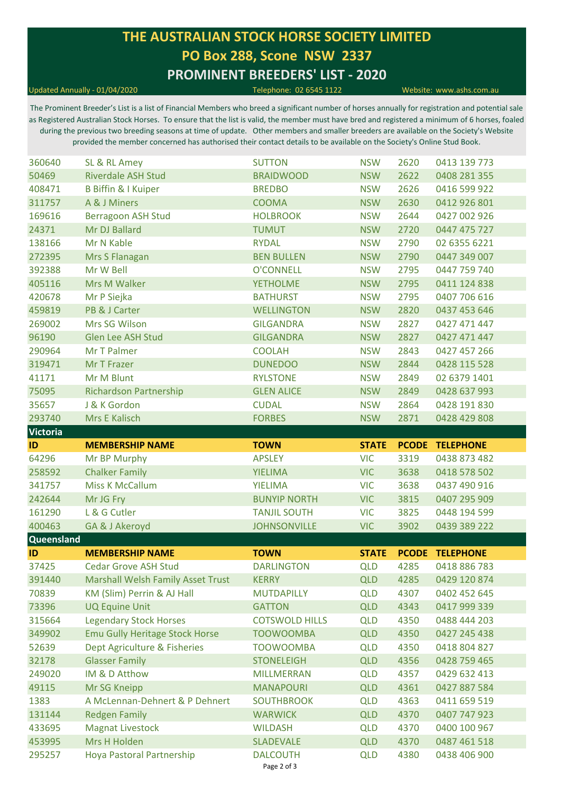# **THE AUSTRALIAN STOCK HORSE SOCIETY LIMITED PO Box 288, Scone NSW 2337 PROMINENT BREEDERS' LIST - 2020**

#### Updated Annually - 01/04/2020 Telephone: 02 6545 1122 Website: www.ashs.com.au

The Prominent Breeder's List is a list of Financial Members who breed a significant number of horses annually for registration and potential sale as Registered Australian Stock Horses. To ensure that the list is valid, the member must have bred and registered a minimum of 6 horses, foaled during the previous two breeding seasons at time of update. Other members and smaller breeders are available on the Society's Website provided the member concerned has authorised their contact details to be available on the Society's Online Stud Book.

| 360640           | SL & RL Amey                              | <b>SUTTON</b>                       | <b>NSW</b>               | 2620         | 0413 139 773                 |  |
|------------------|-------------------------------------------|-------------------------------------|--------------------------|--------------|------------------------------|--|
| 50469            | <b>Riverdale ASH Stud</b>                 | <b>BRAIDWOOD</b>                    | <b>NSW</b>               | 2622         | 0408 281 355                 |  |
| 408471           | <b>B Biffin &amp; I Kuiper</b>            | <b>BREDBO</b>                       | <b>NSW</b>               | 2626         | 0416 599 922                 |  |
| 311757           | A & J Miners                              | <b>COOMA</b>                        | <b>NSW</b>               | 2630         | 0412 926 801                 |  |
| 169616           | <b>Berragoon ASH Stud</b>                 | <b>HOLBROOK</b>                     | <b>NSW</b>               | 2644         | 0427 002 926                 |  |
| 24371            | Mr DJ Ballard                             | <b>TUMUT</b>                        | <b>NSW</b>               | 2720         | 0447 475 727                 |  |
| 138166           | Mr N Kable                                | <b>RYDAL</b>                        | <b>NSW</b>               | 2790         | 02 6355 6221                 |  |
| 272395           | Mrs S Flanagan                            | <b>BEN BULLEN</b>                   | <b>NSW</b>               | 2790         | 0447 349 007                 |  |
| 392388           | Mr W Bell                                 | <b>O'CONNELL</b>                    | <b>NSW</b>               | 2795         | 0447 759 740                 |  |
| 405116           | Mrs M Walker                              | <b>YETHOLME</b>                     | <b>NSW</b>               | 2795         | 0411 124 838                 |  |
| 420678           | Mr P Siejka                               | <b>BATHURST</b>                     | <b>NSW</b>               | 2795         | 0407 706 616                 |  |
| 459819           | PB & J Carter                             | <b>WELLINGTON</b>                   | <b>NSW</b>               | 2820         | 0437 453 646                 |  |
| 269002           | Mrs SG Wilson                             | <b>GILGANDRA</b>                    | <b>NSW</b>               | 2827         | 0427 471 447                 |  |
| 96190            | <b>Glen Lee ASH Stud</b>                  | <b>GILGANDRA</b>                    | <b>NSW</b>               | 2827         | 0427 471 447                 |  |
| 290964           | Mr T Palmer                               | <b>COOLAH</b>                       | <b>NSW</b>               | 2843         | 0427 457 266                 |  |
| 319471           | Mr T Frazer                               | <b>DUNEDOO</b>                      | <b>NSW</b>               | 2844         | 0428 115 528                 |  |
| 41171            | Mr M Blunt                                | <b>RYLSTONE</b>                     | <b>NSW</b>               | 2849         | 02 6379 1401                 |  |
| 75095            | <b>Richardson Partnership</b>             | <b>GLEN ALICE</b>                   | <b>NSW</b>               | 2849         | 0428 637 993                 |  |
| 35657            | J & K Gordon                              | <b>CUDAL</b>                        | <b>NSW</b>               | 2864         | 0428 191 830                 |  |
| 293740           | Mrs E Kalisch                             | <b>FORBES</b>                       | <b>NSW</b>               | 2871         | 0428 429 808                 |  |
| <b>Victoria</b>  |                                           |                                     |                          |              |                              |  |
| ID               | <b>MEMBERSHIP NAME</b>                    | <b>TOWN</b>                         | <b>STATE</b>             |              | <b>PCODE TELEPHONE</b>       |  |
| 64296            | Mr BP Murphy                              | <b>APSLEY</b>                       | <b>VIC</b>               | 3319         | 0438 873 482                 |  |
| 258592           | <b>Chalker Family</b>                     | <b>YIELIMA</b>                      | <b>VIC</b>               | 3638         | 0418 578 502                 |  |
| 341757           | <b>Miss K McCallum</b>                    | <b>YIELIMA</b>                      | <b>VIC</b>               | 3638         | 0437 490 916                 |  |
| 242644           | Mr JG Fry                                 | <b>BUNYIP NORTH</b>                 | <b>VIC</b>               | 3815         | 0407 295 909                 |  |
| 161290           | L & G Cutler                              | <b>TANJIL SOUTH</b>                 | <b>VIC</b>               | 3825         | 0448 194 599                 |  |
| 400463           | GA & J Akeroyd                            | <b>JOHNSONVILLE</b>                 | <b>VIC</b>               | 3902         | 0439 389 222                 |  |
| Queensland       |                                           |                                     |                          |              |                              |  |
| ID               | <b>MEMBERSHIP NAME</b>                    | <b>TOWN</b>                         | <b>STATE</b>             |              | <b>PCODE TELEPHONE</b>       |  |
| 37425            | <b>Cedar Grove ASH Stud</b>               | <b>DARLINGTON</b>                   | <b>QLD</b>               | 4285         |                              |  |
| 391440           |                                           |                                     |                          |              | 0418 886 783                 |  |
|                  | <b>Marshall Welsh Family Asset Trust</b>  | <b>KERRY</b>                        | <b>QLD</b>               | 4285         | 0429 120 874                 |  |
| 70839            | KM (Slim) Perrin & AJ Hall                | <b>MUTDAPILLY</b>                   | <b>QLD</b>               | 4307         | 0402 452 645                 |  |
| 73396            | <b>UQ Equine Unit</b>                     | <b>GATTON</b>                       | <b>QLD</b>               | 4343         | 0417 999 339                 |  |
| 315664           | <b>Legendary Stock Horses</b>             | <b>COTSWOLD HILLS</b>               | <b>QLD</b>               | 4350         | 0488 444 203                 |  |
| 349902           | <b>Emu Gully Heritage Stock Horse</b>     | <b>TOOWOOMBA</b>                    | <b>QLD</b>               | 4350         | 0427 245 438                 |  |
| 52639            | Dept Agriculture & Fisheries              | <b>TOOWOOMBA</b>                    | <b>QLD</b>               | 4350         | 0418 804 827                 |  |
| 32178            | <b>Glasser Family</b>                     | <b>STONELEIGH</b>                   | <b>QLD</b>               | 4356         | 0428 759 465                 |  |
| 249020           | IM & D Atthow                             | <b>MILLMERRAN</b>                   | <b>QLD</b>               | 4357         | 0429 632 413                 |  |
| 49115            | Mr SG Kneipp                              | <b>MANAPOURI</b>                    | <b>QLD</b>               | 4361         | 0427 887 584                 |  |
| 1383             | A McLennan-Dehnert & P Dehnert            | <b>SOUTHBROOK</b>                   | <b>QLD</b>               | 4363         | 0411 659 519                 |  |
| 131144           | <b>Redgen Family</b>                      | <b>WARWICK</b>                      | <b>QLD</b>               | 4370         | 0407 747 923                 |  |
| 433695           | <b>Magnat Livestock</b>                   | <b>WILDASH</b>                      | <b>QLD</b>               | 4370         | 0400 100 967                 |  |
| 453995<br>295257 | Mrs H Holden<br>Hoya Pastoral Partnership | <b>SLADEVALE</b><br><b>DALCOUTH</b> | <b>QLD</b><br><b>QLD</b> | 4370<br>4380 | 0487 461 518<br>0438 406 900 |  |